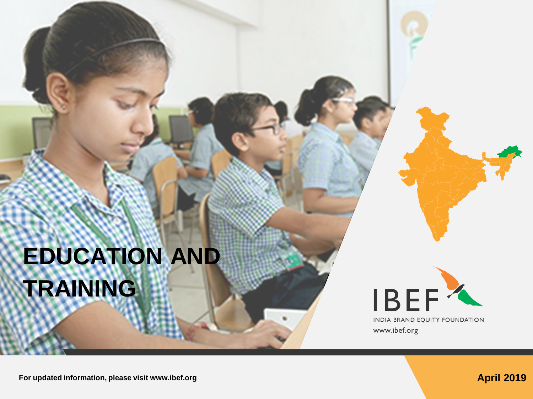# **EDUCATION AND TRAINING**



www.ibef.org

**For updated information, please visit www.ibef.org April 2019 April 2019**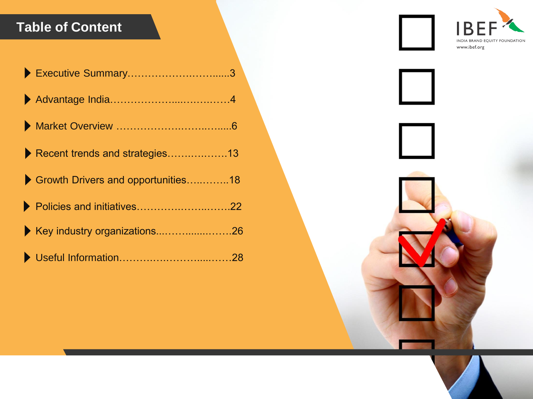#### **Table of Content**

| Recent trends and strategies13     |  |
|------------------------------------|--|
| Growth Drivers and opportunities18 |  |
| Policies and initiatives22         |  |
| ▶ Key industry organizations26     |  |
|                                    |  |

B INDIA BRAND EQUITY FOUNDATION www.ibef.org

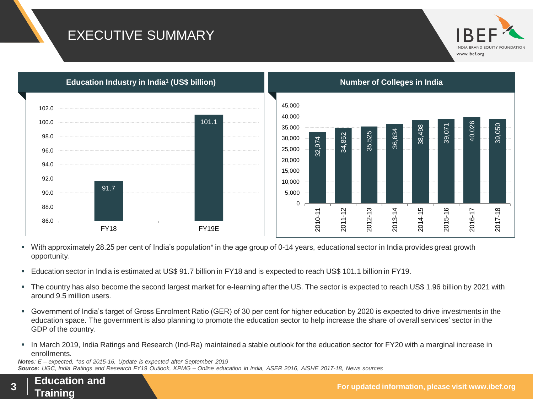#### EXECUTIVE SUMMARY





- With approximately 28.25 per cent of India's population<sup>\*</sup> in the age group of 0-14 years, educational sector in India provides great growth opportunity.
- Education sector in India is estimated at US\$ 91.7 billion in FY18 and is expected to reach US\$ 101.1 billion in FY19.
- The country has also become the second largest market for e-learning after the US. The sector is expected to reach US\$ 1.96 billion by 2021 with around 9.5 million users.
- Government of India's target of Gross Enrolment Ratio (GER) of 30 per cent for higher education by 2020 is expected to drive investments in the education space. The government is also planning to promote the education sector to help increase the share of overall services' sector in the GDP of the country.
- In March 2019, India Ratings and Research (Ind-Ra) maintained a stable outlook for the education sector for FY20 with a marginal increase in enrollments.

*Source: UGC, India Ratings and Research FY19 Outlook, KPMG – Online education in India, ASER 2016, AISHE 2017-18, News sources Notes: E – expected, \*as of 2015-16, Update is expected after September 2019*

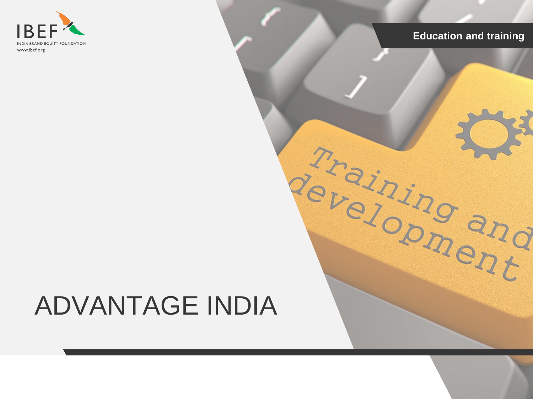

# ADVANTAGE INDIA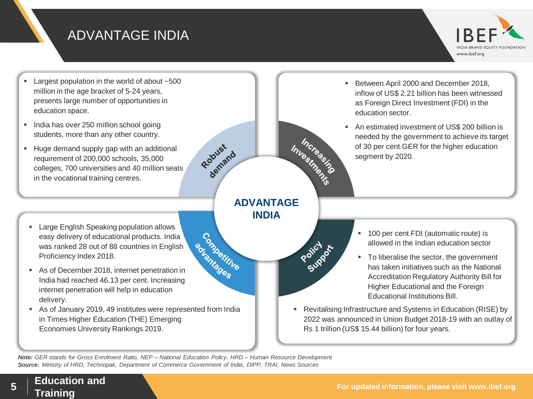#### ADVANTAGE INDIA



- Largest population in the world of about ~500 million in the age bracket of 5-24 years, presents large number of opportunities in education space.
- India has over 250 million school going students, more than any other country.
- Huge demand supply gap with an additional requirement of 200,000 schools, 35,000 colleges, 700 universities and 40 million seats in the vocational training centres.
	- **Large English Speaking population allows** easy delivery of educational products. India was ranked 28 out of 88 countries in English<br>Proficiency Index 2018.<br>As of December 2018, internet penetration in<br>India had reached 46.40 Proficiency Index 2018.
- As of December 2018, internet penetration in India had reached 46.13 per cent. Increasing internet penetration will help in education delivery.
- As of January 2019, 49 institutes were represented from India in Times Higher Education (THE) Emerging Economies University Rankings 2019.
- Between April 2000 and December 2018, inflow of US\$ 2.21 billion has been witnessed as Foreign Direct Investment (FDI) in the education sector.
- An estimated investment of US\$ 200 billion is Inverse asing needed by the government to achieve its target of 30 per cent GER for the higher education segment by 2020.
- **ADVANTAGE INDIA**

Policy of

Robust 1

- <sup>1</sup> 100 per cent FDI (automatic route) is allowed in the Indian education sector
- To liberalise the sector, the government has taken initiatives such as the National Accreditation Regulatory Authority Bill for Higher Educational and the Foreign Educational Institutions Bill.
- Revitalising Infrastructure and Systems in Education (RISE) by 2022 was announced in Union Budget 2018-19 with an outlay of Rs 1 trillion (US\$ 15.44 billion) for four years.

*Source: Ministry of HRD, Technopak, Department of Commerce Government of India, DIPP, TRAI, News Sources Note: GER stands for Gross Enrolment Ratio, NEP – National Education Policy, HRD – Human Resource Development*

**Training <sup>5</sup>**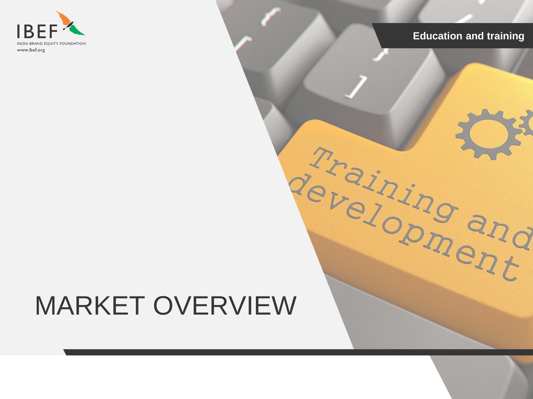

# MARKET OVERVIEW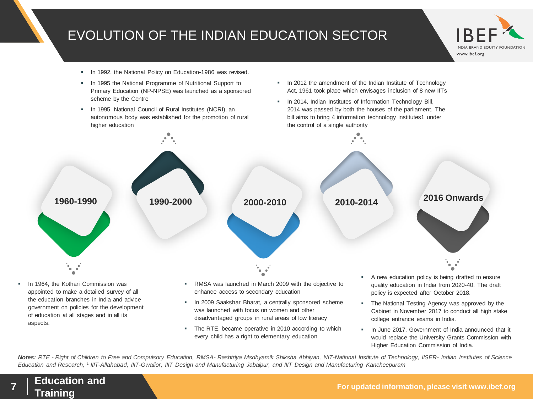#### EVOLUTION OF THE INDIAN EDUCATION SECTOR



- In 1992, the National Policy on Education-1986 was revised.
- **In 1995 the National Programme of Nutritional Support to** Primary Education (NP-NPSE) was launched as a sponsored scheme by the Centre
- In 1995, National Council of Rural Institutes (NCRI), an autonomous body was established for the promotion of rural higher education
- In 2012 the amendment of the Indian Institute of Technology Act, 1961 took place which envisages inclusion of 8 new IITs
- **In 2014, Indian Institutes of Information Technology Bill,** 2014 was passed by both the houses of the parliament. The bill aims to bring 4 information technology institutes1 under the control of a single authority



Notes: RTE - Right of Children to Free and Compulsory Education, RMSA- Rashtriya Msdhyamik Shiksha Abhiyan, NIT-National Institute of Technology, IISER- Indian Institutes of Science *Education and Research, <sup>1</sup> IIIT-Allahabad, IIIT-Gwalior, IIIT Design and Manufacturing Jabalpur, and IIIT Design and Manufacturing Kancheepuram*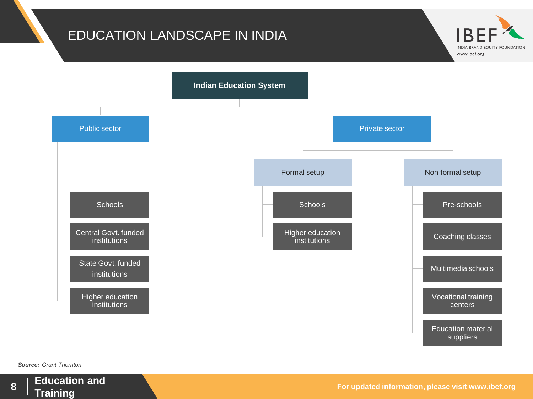#### EDUCATION LANDSCAPE IN INDIA



*Source: Grant Thornton*



**For updated information, please visit www.ibef.org Education and** 

**INDIA BRAND EQUITY FOUNDATION**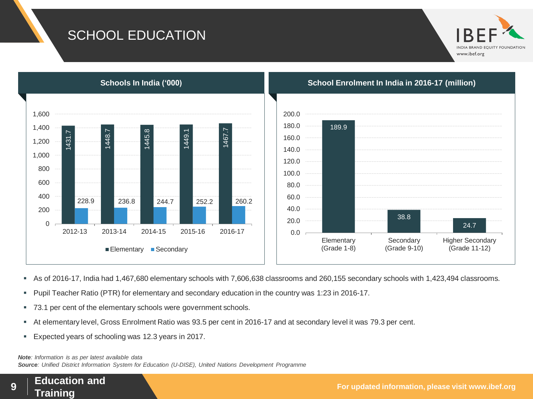#### SCHOOL EDUCATION





- As of 2016-17, India had 1,467,680 elementary schools with 7,606,638 classrooms and 260,155 secondary schools with 1,423,494 classrooms.
- Pupil Teacher Ratio (PTR) for elementary and secondary education in the country was 1:23 in 2016-17.
- 73.1 per cent of the elementary schools were government schools.
- At elementary level, Gross Enrolment Ratio was 93.5 per cent in 2016-17 and at secondary level it was 79.3 per cent.
- Expected years of schooling was 12.3 years in 2017.

*Note: Information is as per latest available data*

*Source: Unified District Information System for Education (U-DISE), United Nations Development Programme*

**Training <sup>9</sup>**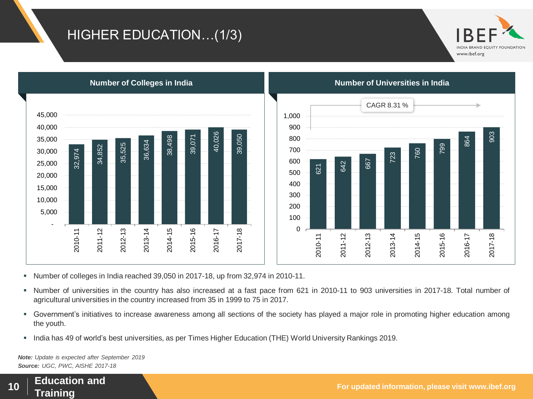#### HIGHER EDUCATION…(1/3)







- Number of colleges in India reached 39,050 in 2017-18, up from 32,974 in 2010-11.
- " Number of universities in the country has also increased at a fast pace from 621 in 2010-11 to 903 universities in 2017-18. Total number of agricultural universities in the country increased from 35 in 1999 to 75 in 2017.
- Government's initiatives to increase awareness among all sections of the society has played a major role in promoting higher education among the youth.
- India has 49 of world's best universities, as per Times Higher Education (THE) World University Rankings 2019.

*Source: UGC, PWC, AISHE 2017-18 Note: Update is expected after September 2019*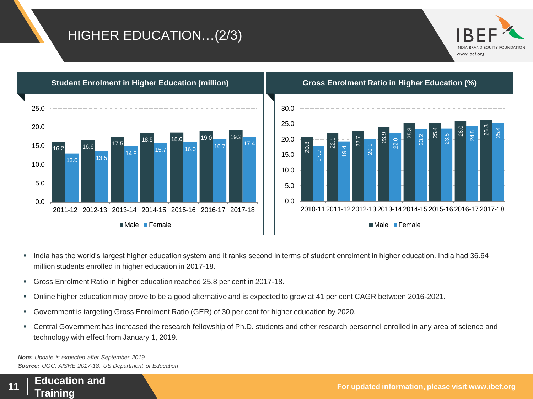#### HIGHER EDUCATION…(2/3)





- India has the world's largest higher education system and it ranks second in terms of student enrolment in higher education. India had 36.64 million students enrolled in higher education in 2017-18.
- Gross Enrolment Ratio in higher education reached 25.8 per cent in 2017-18.
- Online higher education may prove to be a good alternative and is expected to grow at 41 per cent CAGR between 2016-2021.
- Government is targeting Gross Enrolment Ratio (GER) of 30 per cent for higher education by 2020.
- Central Government has increased the research fellowship of Ph.D. students and other research personnel enrolled in any area of science and technology with effect from January 1, 2019.

*Source: UGC, AISHE 2017-18; US Department of Education Note: Update is expected after September 2019*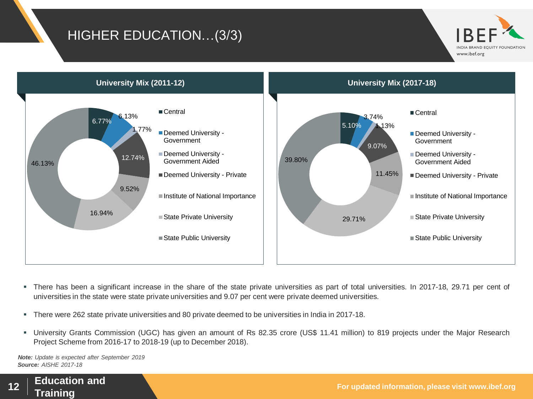#### HIGHER EDUCATION…(3/3)





- There has been a significant increase in the share of the state private universities as part of total universities. In 2017-18, 29.71 per cent of universities in the state were state private universities and 9.07 per cent were private deemed universities.
- There were 262 state private universities and 80 private deemed to be universities in India in 2017-18.
- University Grants Commission (UGC) has given an amount of Rs 82.35 crore (US\$ 11.41 million) to 819 projects under the Major Research Project Scheme from 2016-17 to 2018-19 (up to December 2018).

*Source: AISHE 2017-18 Note: Update is expected after September 2019*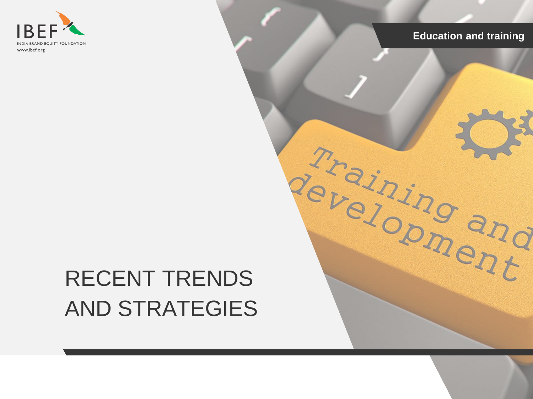

Training and

## RECENT TRENDS AND STRATEGIES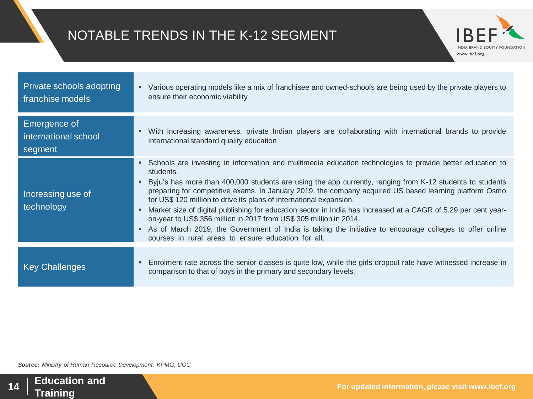#### NOTABLE TRENDS IN THE K-12 SEGMENT



| Private schools adopting<br>franchise models           | Various operating models like a mix of franchisee and owned-schools are being used by the private players to<br>٠<br>ensure their economic viability                                                                                                                                                                                                                                                                                                                                                                                                                                                                                                                                                                                                                                         |
|--------------------------------------------------------|----------------------------------------------------------------------------------------------------------------------------------------------------------------------------------------------------------------------------------------------------------------------------------------------------------------------------------------------------------------------------------------------------------------------------------------------------------------------------------------------------------------------------------------------------------------------------------------------------------------------------------------------------------------------------------------------------------------------------------------------------------------------------------------------|
| <b>Emergence of</b><br>international school<br>segment | With increasing awareness, private Indian players are collaborating with international brands to provide<br>ш<br>international standard quality education                                                                                                                                                                                                                                                                                                                                                                                                                                                                                                                                                                                                                                    |
| Increasing use of<br>technology                        | • Schools are investing in information and multimedia education technologies to provide better education to<br>students.<br>Byju's has more than 400,000 students are using the app currently, ranging from K-12 students to students<br>preparing for competitive exams. In January 2019, the company acquired US based learning platform Osmo<br>for US\$ 120 million to drive its plans of international expansion.<br>Market size of digital publishing for education sector in India has increased at a CAGR of 5.29 per cent year-<br>٠<br>on-year to US\$ 356 million in 2017 from US\$ 305 million in 2014.<br>As of March 2019, the Government of India is taking the initiative to encourage colleges to offer online<br>п.<br>courses in rural areas to ensure education for all. |
| <b>Key Challenges</b>                                  | Enrolment rate across the senior classes is quite low, while the girls dropout rate have witnessed increase in<br>ш<br>comparison to that of boys in the primary and secondary levels.                                                                                                                                                                                                                                                                                                                                                                                                                                                                                                                                                                                                       |

*Source: Ministry of Human Resource Development, KPMG, UGC*

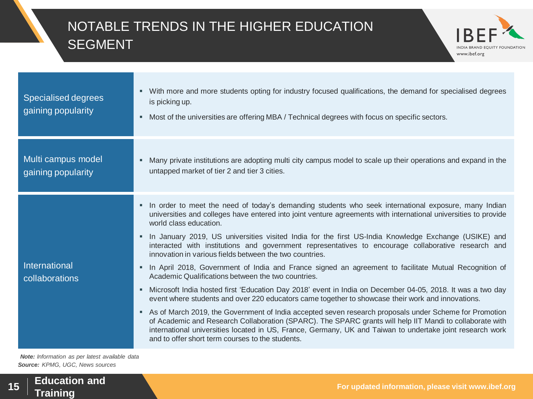#### NOTABLE TRENDS IN THE HIGHER EDUCATION SEGMENT



| Specialised degrees<br>gaining popularity | • With more and more students opting for industry focused qualifications, the demand for specialised degrees<br>is picking up.<br>Most of the universities are offering MBA / Technical degrees with focus on specific sectors.<br>٠                                                                                                                                                                                                                                                                                                                                                                                                                                                                                                                                                                                                                                                                                                                                                                                                                                                                                                                                                                                                                                                                                |
|-------------------------------------------|---------------------------------------------------------------------------------------------------------------------------------------------------------------------------------------------------------------------------------------------------------------------------------------------------------------------------------------------------------------------------------------------------------------------------------------------------------------------------------------------------------------------------------------------------------------------------------------------------------------------------------------------------------------------------------------------------------------------------------------------------------------------------------------------------------------------------------------------------------------------------------------------------------------------------------------------------------------------------------------------------------------------------------------------------------------------------------------------------------------------------------------------------------------------------------------------------------------------------------------------------------------------------------------------------------------------|
| Multi campus model<br>gaining popularity  | Many private institutions are adopting multi city campus model to scale up their operations and expand in the<br>٠<br>untapped market of tier 2 and tier 3 cities.                                                                                                                                                                                                                                                                                                                                                                                                                                                                                                                                                                                                                                                                                                                                                                                                                                                                                                                                                                                                                                                                                                                                                  |
| International<br>collaborations           | In order to meet the need of today's demanding students who seek international exposure, many Indian<br>٠<br>universities and colleges have entered into joint venture agreements with international universities to provide<br>world class education.<br>In January 2019, US universities visited India for the first US-India Knowledge Exchange (USIKE) and<br>interacted with institutions and government representatives to encourage collaborative research and<br>innovation in various fields between the two countries.<br>In April 2018, Government of India and France signed an agreement to facilitate Mutual Recognition of<br>٠<br>Academic Qualifications between the two countries.<br>Microsoft India hosted first 'Education Day 2018' event in India on December 04-05, 2018. It was a two day<br>٠<br>event where students and over 220 educators came together to showcase their work and innovations.<br>As of March 2019, the Government of India accepted seven research proposals under Scheme for Promotion<br>of Academic and Research Collaboration (SPARC). The SPARC grants will help IIT Mandi to collaborate with<br>international universities located in US, France, Germany, UK and Taiwan to undertake joint research work<br>and to offer short term courses to the students. |

*Source: KPMG, UGC, News sources Note: Information as per latest available data*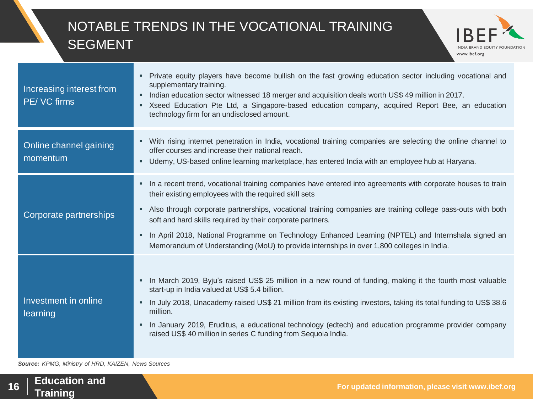#### NOTABLE TRENDS IN THE VOCATIONAL TRAINING SEGMENT



| Increasing interest from<br>PE/ VC firms | Private equity players have become bullish on the fast growing education sector including vocational and<br>supplementary training.<br>Indian education sector witnessed 18 merger and acquisition deals worth US\$49 million in 2017.<br>п<br>Xseed Education Pte Ltd, a Singapore-based education company, acquired Report Bee, an education<br>٠<br>technology firm for an undisclosed amount.                                                                                                                                                           |
|------------------------------------------|-------------------------------------------------------------------------------------------------------------------------------------------------------------------------------------------------------------------------------------------------------------------------------------------------------------------------------------------------------------------------------------------------------------------------------------------------------------------------------------------------------------------------------------------------------------|
| Online channel gaining<br>momentum       | With rising internet penetration in India, vocational training companies are selecting the online channel to<br>ш<br>offer courses and increase their national reach.<br>Udemy, US-based online learning marketplace, has entered India with an employee hub at Haryana.<br>٠                                                                                                                                                                                                                                                                               |
| Corporate partnerships                   | In a recent trend, vocational training companies have entered into agreements with corporate houses to train<br>their existing employees with the required skill sets<br>Also through corporate partnerships, vocational training companies are training college pass-outs with both<br>٠<br>soft and hard skills required by their corporate partners.<br>In April 2018, National Programme on Technology Enhanced Learning (NPTEL) and Internshala signed an<br>Memorandum of Understanding (MoU) to provide internships in over 1,800 colleges in India. |
| Investment in online<br>learning         | In March 2019, Byju's raised US\$ 25 million in a new round of funding, making it the fourth most valuable<br>start-up in India valued at US\$ 5.4 billion.<br>In July 2018, Unacademy raised US\$ 21 million from its existing investors, taking its total funding to US\$ 38.6<br>п<br>million.<br>In January 2019, Eruditus, a educational technology (edtech) and education programme provider company<br>٠<br>raised US\$ 40 million in series C funding from Sequoia India.                                                                           |

*Source: KPMG, Ministry of HRD, KAIZEN, News Sources*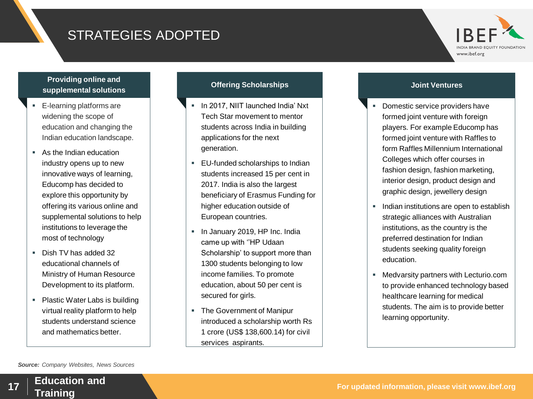#### STRATEGIES ADOPTED



#### **Providing online and supplemental solutions**

- E-learning platforms are widening the scope of education and changing the Indian education landscape.
- As the Indian education industry opens up to new innovative ways of learning, Educomp has decided to explore this opportunity by offering its various online and supplemental solutions to help institutions to leverage the most of technology
- Dish TV has added 32 educational channels of Ministry of Human Resource Development to its platform.
- Plastic Water Labs is building virtual reality platform to help students understand science and mathematics better.

#### **Offering Scholarships Contract Scholarships Joint Ventures**

- **In 2017, NIIT launched India' Nxt** Tech Star movement to mentor students across India in building applications for the next generation.
- **EU-funded scholarships to Indian** students increased 15 per cent in 2017. India is also the largest beneficiary of Erasmus Funding for higher education outside of European countries.
- **In January 2019, HP Inc. India** came up with ''HP Udaan Scholarship' to support more than 1300 students belonging to low income families. To promote education, about 50 per cent is secured for girls.
- The Government of Manipur introduced a scholarship worth Rs 1 crore (US\$ 138,600.14) for civil services aspirants.

- **Domestic service providers have** formed joint venture with foreign players. For example Educomp has formed joint venture with Raffles to form Raffles Millennium International Colleges which offer courses in fashion design, fashion marketing, interior design, product design and graphic design, jewellery design
- **Indian institutions are open to establish** strategic alliances with Australian institutions, as the country is the preferred destination for Indian students seeking quality foreign education.
- **Medvarsity partners with Lecturio.com** to provide enhanced technology based healthcare learning for medical students. The aim is to provide better learning opportunity.

*Source: Company Websites, News Sources*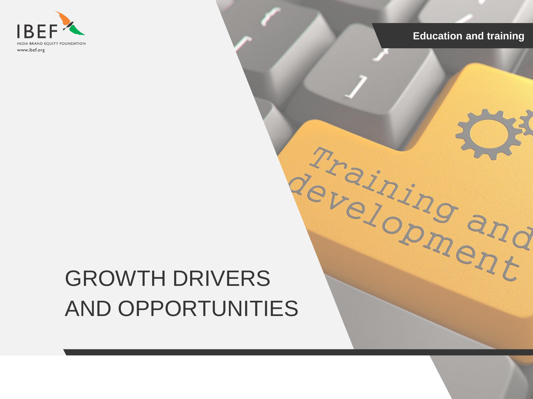

# GROWTH DRIVERS AND OPPORTUNITIES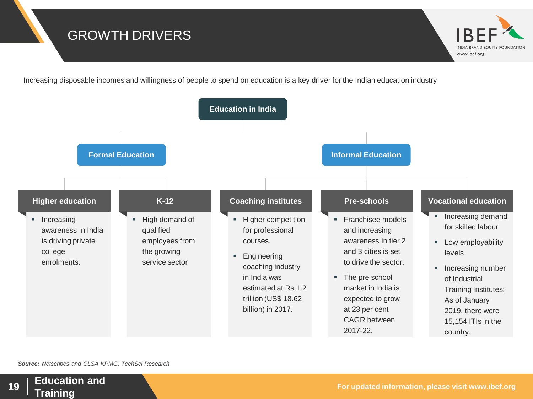#### GROWTH DRIVERS

Increasing disposable incomes and willingness of people to spend on education is a key driver for the Indian education industry



*Source: Netscribes and CLSA KPMG, TechSci Research*

www.ibef.org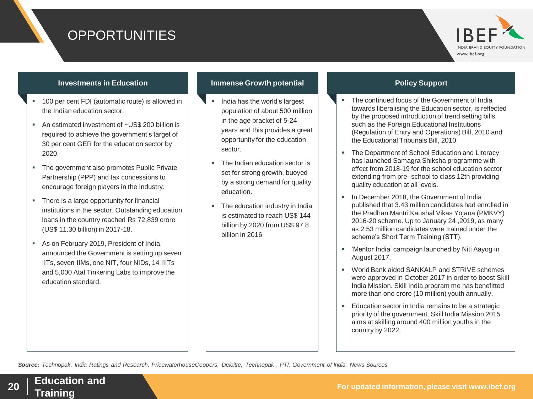#### **OPPORTUNITIES**



#### **Investments in Education Immense Growth potential Community Construction Community Community Community Community**

- 100 per cent FDI (automatic route) is allowed in the Indian education sector.
- An estimated investment of ~US\$ 200 billion is required to achieve the government's target of 30 per cent GER for the education sector by 2020.
- The government also promotes Public Private Partnership (PPP) and tax concessions to encourage foreign players in the industry.
- There is a large opportunity for financial institutions in the sector. Outstanding education loans in the country reached Rs 72,839 crore (US\$ 11.30 billion) in 2017-18.
- As on February 2019, President of India, announced the Government is setting up seven IITs, seven IIMs, one NIT, four NIDs, 14 IIITs and 5,000 Atal Tinkering Labs to improve the education standard.

- **India has the world's largest** population of about 500 million in the age bracket of 5-24 years and this provides a great opportunity for the education sector.
- The Indian education sector is set for strong growth, buoyed by a strong demand for quality education.
- The education industry in India is estimated to reach US\$ 144 billion by 2020 from US\$ 97.8 billion in 2016

- The continued focus of the Government of India towards liberalising the Education sector, is reflected by the proposed introduction of trend setting bills such as the Foreign Educational Institutions (Regulation of Entry and Operations) Bill, 2010 and the Educational Tribunals Bill, 2010.
- The Department of School Education and Literacy has launched Samagra Shiksha programme with effect from 2018-19 for the school education sector extending from pre- school to class 12th providing quality education at all levels.
- In December 2018, the Government of India published that 3.43 million candidates had enrolled in the Pradhan Mantri Kaushal Vikas Yojana (PMKVY) 2016-20 scheme. Up to January 24 ,2019, as many as 2.53 million candidates were trained under the scheme's Short Term Training (STT).
- 'Mentor India' campaign launched by Niti Aayog in August 2017.
- World Bank aided SANKALP and STRIVE schemes were approved in October 2017 in order to boost Skill India Mission. Skill India program me has benefitted more than one crore (10 million) youth annually.
- **Education sector in India remains to be a strategic** priority of the government. Skill India Mission 2015 aims at skilling around 400 million youths in the country by 2022.

*Source: Technopak, India Ratings and Research, PricewaterhouseCoopers, Deloitte, Technopak , PTI, Government of India, News Sources*

**Training <sup>20</sup>**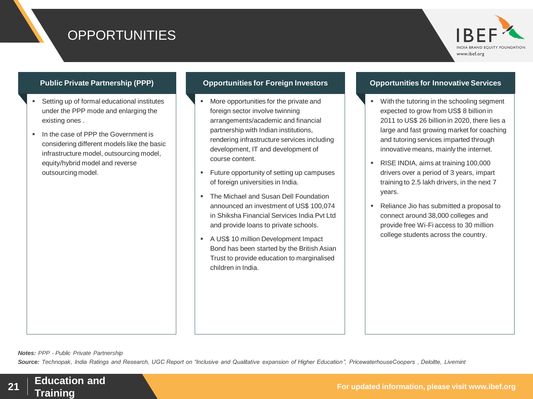#### **OPPORTUNITIES**



- Setting up of formal educational institutes under the PPP mode and enlarging the existing ones .
- In the case of PPP the Government is considering different models like the basic infrastructure model, outsourcing model, equity/hybrid model and reverse outsourcing model.

- More opportunities for the private and foreign sector involve twinning arrangements/academic and financial partnership with Indian institutions, rendering infrastructure services including development, IT and development of course content.
- **Future opportunity of setting up campuses** of foreign universities in India.
- The Michael and Susan Dell Foundation announced an investment of US\$ 100,074 in Shiksha Financial Services India Pvt Ltd and provide loans to private schools.
- A US\$ 10 million Development Impact Bond has been started by the British Asian Trust to provide education to marginalised children in India.

#### **Public Private Partnership (PPP) Opportunities for Foreign Investors Opportunities for Innovative Services**

- With the tutoring in the schooling segment expected to grow from US\$ 8 billion in 2011 to US\$ 26 billion in 2020, there lies a large and fast growing market for coaching and tutoring services imparted through innovative means, mainly the internet.
- RISE INDIA, aims at training 100,000 drivers over a period of 3 years, impart training to 2.5 lakh drivers, in the next 7 years.
- Reliance Jio has submitted a proposal to connect around 38,000 colleges and provide free Wi-Fi access to 30 million college students across the country.

*Notes: PPP - Public Private Partnership*

*Source: Technopak, India Ratings and Research, UGC Report on "Inclusive and Qualitative expansion of Higher Education", PricewaterhouseCoopers , Deloitte, Livemint*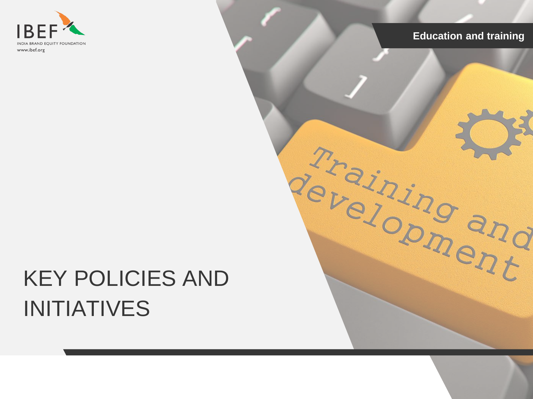

Training and

## KEY POLICIES AND INITIATIVES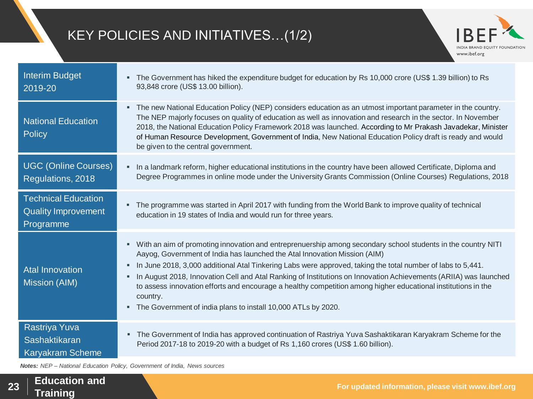#### KEY POLICIES AND INITIATIVES…(1/2)



| <b>Interim Budget</b><br>2019-20                                      | The Government has hiked the expenditure budget for education by Rs 10,000 crore (US\$ 1.39 billion) to Rs<br>٠<br>93,848 crore (US\$ 13.00 billion).                                                                                                                                                                                                                                                                                                                                                                                                                                                                                          |
|-----------------------------------------------------------------------|------------------------------------------------------------------------------------------------------------------------------------------------------------------------------------------------------------------------------------------------------------------------------------------------------------------------------------------------------------------------------------------------------------------------------------------------------------------------------------------------------------------------------------------------------------------------------------------------------------------------------------------------|
| <b>National Education</b><br>Policy                                   | The new National Education Policy (NEP) considers education as an utmost important parameter in the country.<br>٠<br>The NEP majorly focuses on quality of education as well as innovation and research in the sector. In November<br>2018, the National Education Policy Framework 2018 was launched. According to Mr Prakash Javadekar, Minister<br>of Human Resource Development, Government of India, New National Education Policy draft is ready and would<br>be given to the central government.                                                                                                                                        |
| <b>UGC (Online Courses)</b><br>Regulations, 2018                      | In a landmark reform, higher educational institutions in the country have been allowed Certificate, Diploma and<br>٠<br>Degree Programmes in online mode under the University Grants Commission (Online Courses) Regulations, 2018                                                                                                                                                                                                                                                                                                                                                                                                             |
| <b>Technical Education</b><br><b>Quality Improvement</b><br>Programme | . The programme was started in April 2017 with funding from the World Bank to improve quality of technical<br>education in 19 states of India and would run for three years.                                                                                                                                                                                                                                                                                                                                                                                                                                                                   |
| <b>Atal Innovation</b><br><b>Mission (AIM)</b>                        | With an aim of promoting innovation and entreprenuership among secondary school students in the country NITI<br>٠<br>Aayog, Government of India has launched the Atal Innovation Mission (AIM)<br>In June 2018, 3,000 additional Atal Tinkering Labs were approved, taking the total number of labs to 5,441.<br>٠<br>In August 2018, Innovation Cell and Atal Ranking of Institutions on Innovation Achievements (ARIIA) was launched<br>п<br>to assess innovation efforts and encourage a healthy competition among higher educational institutions in the<br>country.<br>The Government of india plans to install 10,000 ATLs by 2020.<br>٠ |
| Rastriya Yuva<br>Sashaktikaran<br><b>Karyakram Scheme</b>             | The Government of India has approved continuation of Rastriya Yuva Sashaktikaran Karyakram Scheme for the<br>٠<br>Period 2017-18 to 2019-20 with a budget of Rs 1,160 crores (US\$ 1.60 billion).                                                                                                                                                                                                                                                                                                                                                                                                                                              |

*Notes: NEP – National Education Policy, Government of India, News sources*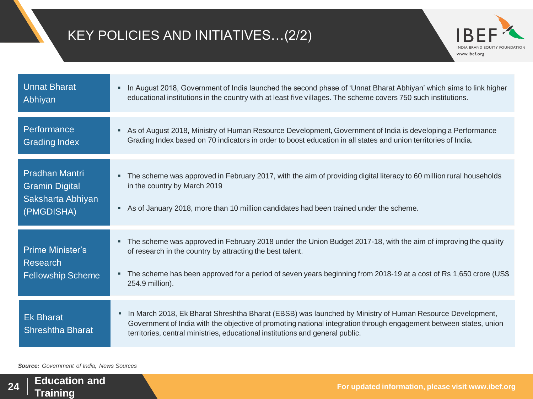#### KEY POLICIES AND INITIATIVES…(2/2)



| <b>Unnat Bharat</b><br>Abhiyan                                                    | In August 2018, Government of India launched the second phase of 'Unnat Bharat Abhiyan' which aims to link higher<br>٠<br>educational institutions in the country with at least five villages. The scheme covers 750 such institutions.                                                                                       |
|-----------------------------------------------------------------------------------|-------------------------------------------------------------------------------------------------------------------------------------------------------------------------------------------------------------------------------------------------------------------------------------------------------------------------------|
| Performance<br><b>Grading Index</b>                                               | As of August 2018, Ministry of Human Resource Development, Government of India is developing a Performance<br>٠<br>Grading Index based on 70 indicators in order to boost education in all states and union territories of India.                                                                                             |
| <b>Pradhan Mantri</b><br><b>Gramin Digital</b><br>Saksharta Abhiyan<br>(PMGDISHA) | The scheme was approved in February 2017, with the aim of providing digital literacy to 60 million rural households<br>٠<br>in the country by March 2019<br>As of January 2018, more than 10 million candidates had been trained under the scheme.<br>٠                                                                       |
| <b>Prime Minister's</b><br><b>Research</b><br><b>Fellowship Scheme</b>            | The scheme was approved in February 2018 under the Union Budget 2017-18, with the aim of improving the quality<br>٠<br>of research in the country by attracting the best talent.<br>The scheme has been approved for a period of seven years beginning from 2018-19 at a cost of Rs 1,650 crore (US\$<br>٠<br>254.9 million). |
| <b>Ek Bharat</b><br><b>Shreshtha Bharat</b>                                       | In March 2018, Ek Bharat Shreshtha Bharat (EBSB) was launched by Ministry of Human Resource Development,<br>٠<br>Government of India with the objective of promoting national integration through engagement between states, union<br>territories, central ministries, educational institutions and general public.           |

*Source: Government of India, News Sources*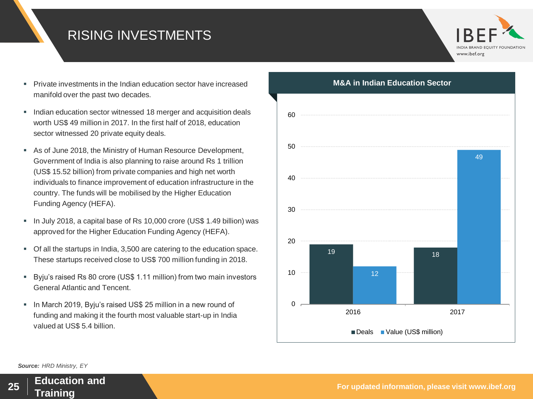#### RISING INVESTMENTS



- Private investments in the Indian education sector have increased manifold over the past two decades.
- **Indian education sector witnessed 18 merger and acquisition deals** worth US\$ 49 million in 2017. In the first half of 2018, education sector witnessed 20 private equity deals.
- As of June 2018, the Ministry of Human Resource Development, Government of India is also planning to raise around Rs 1 trillion (US\$ 15.52 billion) from private companies and high net worth individuals to finance improvement of education infrastructure in the country. The funds will be mobilised by the Higher Education Funding Agency (HEFA).
- In July 2018, a capital base of Rs 10,000 crore (US\$ 1.49 billion) was approved for the Higher Education Funding Agency (HEFA).
- Of all the startups in India, 3,500 are catering to the education space. These startups received close to US\$ 700 million funding in 2018.
- Byju's raised Rs 80 crore (US\$ 1.11 million) from two main investors General Atlantic and Tencent.
- **In March 2019, Byju's raised US\$ 25 million in a new round of** funding and making it the fourth most valuable start-up in India valued at US\$ 5.4 billion.



*Source: HRD Ministry, EY*

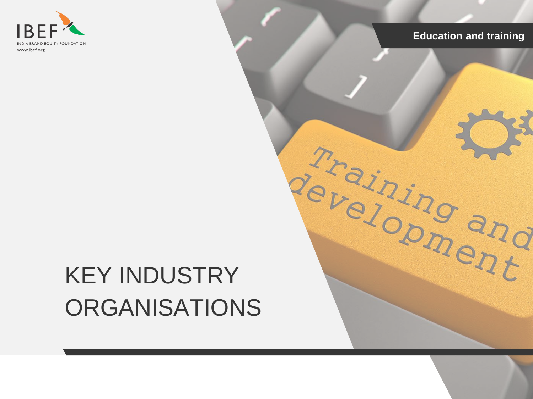

Training and

# KEY INDUSTRY **ORGANISATIONS**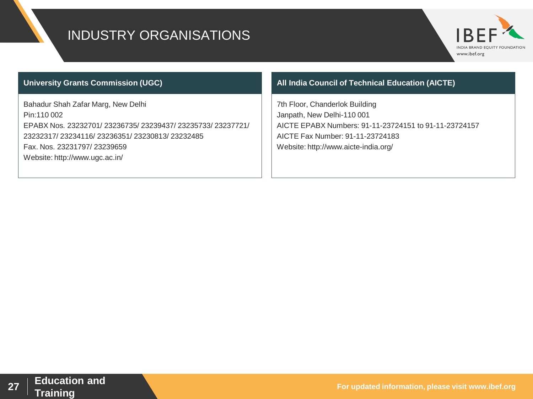#### INDUSTRY ORGANISATIONS



#### **University Grants Commission (UGC)**

Bahadur Shah Zafar Marg, New Delhi Pin:110 002 EPABX Nos. 23232701/ 23236735/ 23239437/ 23235733/ 23237721/ 23232317/ 23234116/ 23236351/ 23230813/ 23232485 Fax. Nos. 23231797/ 23239659 Website: http://www.ugc.ac.in/

#### **All India Council of Technical Education (AICTE)**

7th Floor, Chanderlok Building Janpath, New Delhi-110 001 AICTE EPABX Numbers: 91-11-23724151 to 91-11-23724157 AICTE Fax Number: 91-11-23724183 Website: http://www.aicte-india.org/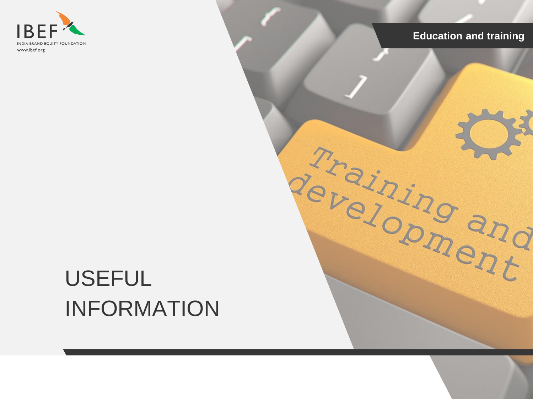

Training and

### USEFUL INFORMATION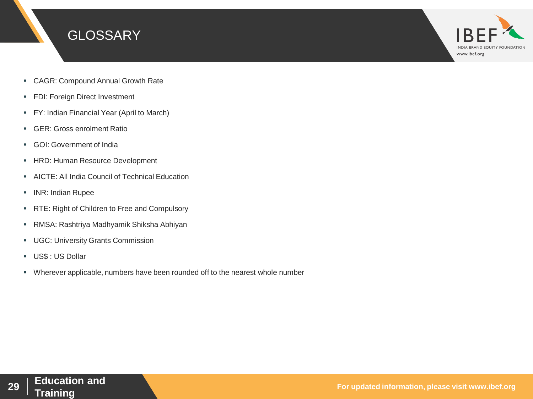



- CAGR: Compound Annual Growth Rate
- **FDI: Foreign Direct Investment**
- **FY: Indian Financial Year (April to March)**
- **GER: Gross enrolment Ratio**
- GOI: Government of India
- **HRD: Human Resource Development**
- AICTE: All India Council of Technical Education
- **INR: Indian Rupee**
- **RTE: Right of Children to Free and Compulsory**
- RMSA: Rashtriya Madhyamik Shiksha Abhiyan
- **UGC: University Grants Commission**
- US\$ : US Dollar
- Wherever applicable, numbers have been rounded off to the nearest whole number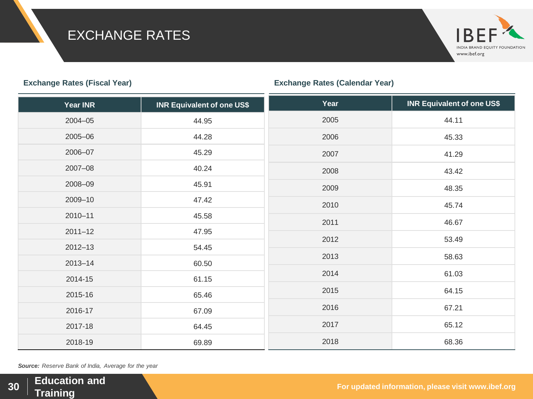#### EXCHANGE RATES



#### INDIA BRAND EQUITY FOUNDATION www.ibef.org

| <b>Year INR</b> | <b>INR Equivalent of one US\$</b> | Year | <b>INR Equivalent of one US\$</b> |
|-----------------|-----------------------------------|------|-----------------------------------|
| $2004 - 05$     | 44.95                             | 2005 | 44.11                             |
| 2005-06         | 44.28                             | 2006 | 45.33                             |
| 2006-07         | 45.29                             | 2007 | 41.29                             |
| 2007-08         | 40.24                             | 2008 | 43.42                             |
| 2008-09         | 45.91                             | 2009 | 48.35                             |
| 2009-10         | 47.42                             | 2010 | 45.74                             |
| $2010 - 11$     | 45.58                             | 2011 | 46.67                             |
| $2011 - 12$     | 47.95                             | 2012 | 53.49                             |
| $2012 - 13$     | 54.45                             | 2013 |                                   |
| $2013 - 14$     | 60.50                             |      | 58.63                             |
| 2014-15         | 61.15                             | 2014 | 61.03                             |
| 2015-16         | 65.46                             | 2015 | 64.15                             |
| 2016-17         | 67.09                             | 2016 | 67.21                             |
| 2017-18         | 64.45                             | 2017 | 65.12                             |
| 2018-19         | 69.89                             | 2018 | 68.36                             |

*Source: Reserve Bank of India, Average for the year*